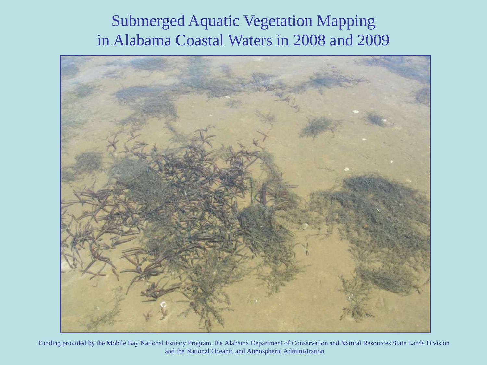# Submerged Aquatic Vegetation Mapping in Alabama Coastal Waters in 2008 and 2009



Funding provided by the Mobile Bay National Estuary Program, the Alabama Department of Conservation and Natural Resources State Lands Division and the National Oceanic and Atmospheric Administration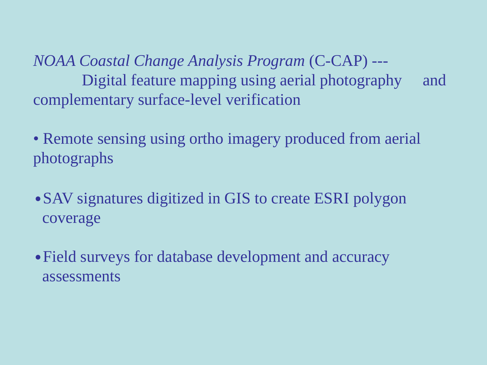*NOAA Coastal Change Analysis Program* (C-CAP) --- Digital feature mapping using aerial photography and complementary surface-level verification

- Remote sensing using ortho imagery produced from aerial photographs
- SAV signatures digitized in GIS to create ESRI polygon coverage
- Field surveys for database development and accuracy assessments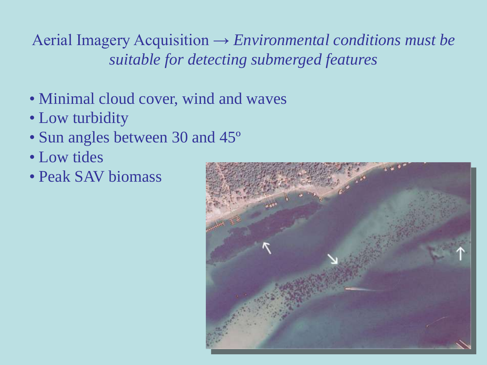Aerial Imagery Acquisition → *Environmental conditions must be suitable for detecting submerged features*

- Minimal cloud cover, wind and waves
- Low turbidity
- Sun angles between 30 and 45<sup>°</sup>
- Low tides
- Peak SAV biomass

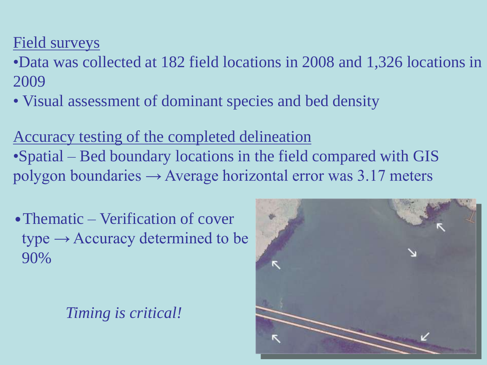# Field surveys

- •Data was collected at 182 field locations in 2008 and 1,326 locations in 2009
- Visual assessment of dominant species and bed density

Accuracy testing of the completed delineation •Spatial – Bed boundary locations in the field compared with GIS polygon boundaries  $\rightarrow$  Average horizontal error was 3.17 meters

• Thematic – Verification of cover  $type \rightarrow Accuracy$  determined to be 90%

*Timing is critical!*

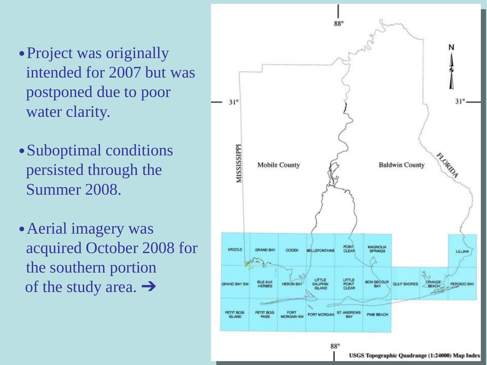- •Project was originally intended for 2007 but was postponed due to poor water clarity.
- •Suboptimal conditions persisted through the Summer 2008.
- •Aerial imagery was acquired October 2008 for the southern portion of the study area. ➔

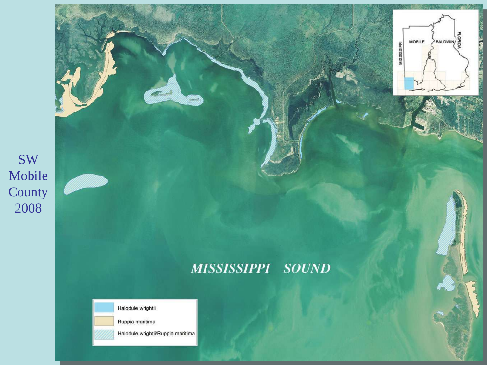

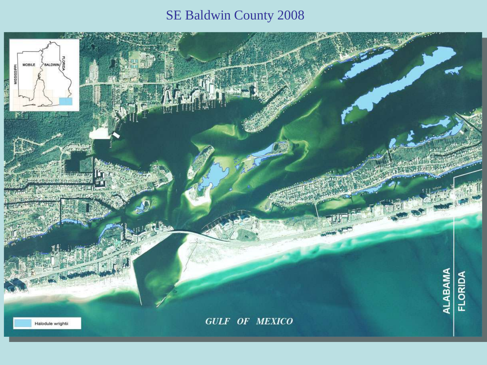## SE Baldwin County 2008

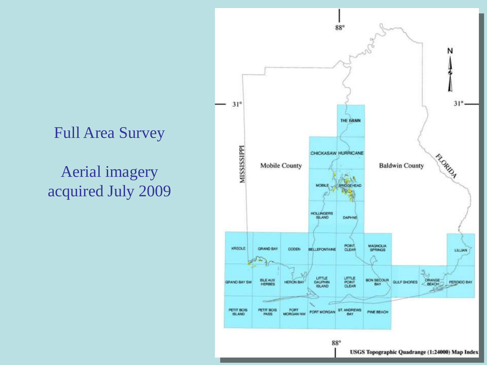# Full Area Survey

# Aerial imagery acquired July 2009

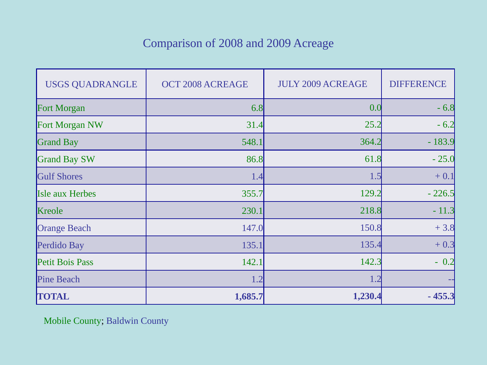### Comparison of 2008 and 2009 Acreage

| <b>USGS QUADRANGLE</b> | OCT 2008 ACREAGE | <b>JULY 2009 ACREAGE</b> | <b>DIFFERENCE</b> |
|------------------------|------------------|--------------------------|-------------------|
| <b>Fort Morgan</b>     | 6.8              | 0.0                      | $-6.8$            |
| Fort Morgan NW         | 31.4             | 25.2                     | $-6.2$            |
| <b>Grand Bay</b>       | 548.1            | 364.2                    | $-183.9$          |
| <b>Grand Bay SW</b>    | 86.8             | 61.8                     | $-25.0$           |
| <b>Gulf Shores</b>     | 1.4              | 1.5                      | $+0.1$            |
| <b>Isle aux Herbes</b> | 355.7            | 129.2                    | $-226.5$          |
| Kreole                 | 230.1            | 218.8                    | $-11.3$           |
| <b>Orange Beach</b>    | 147.0            | 150.8                    | $+3.8$            |
| Perdido Bay            | 135.1            | 135.4                    | $+0.3$            |
| Petit Bois Pass        | 142.1            | 142.3                    | $-0.2$            |
| <b>Pine Beach</b>      | 1.2              | 1.2                      |                   |
| <b>TOTAL</b>           | 1,685.7          | 1,230.4                  | $-455.3$          |

Mobile County; Baldwin County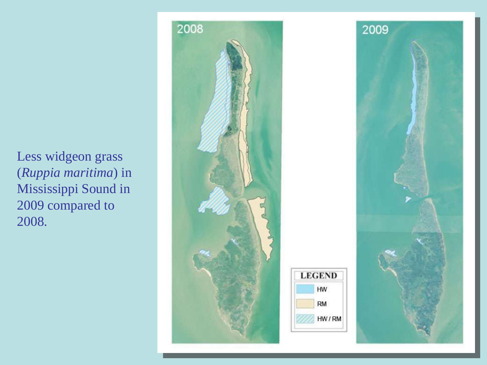Less widgeon grass (*Ruppia maritima*) in Mississippi Sound in 2009 compared to 2008.

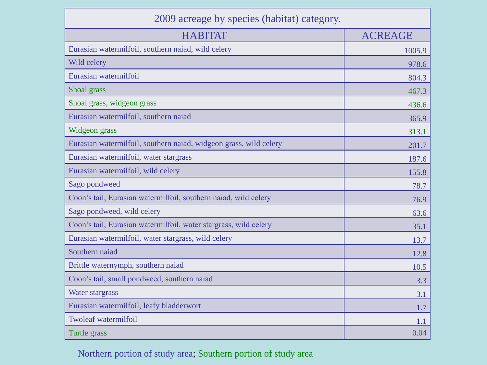| 2009 acreage by species (habitat) category.                       |                |  |  |
|-------------------------------------------------------------------|----------------|--|--|
| <b>HABITAT</b>                                                    | <b>ACREAGE</b> |  |  |
| Eurasian watermilfoil, southern naiad, wild celery                | 1005.9         |  |  |
| Wild celery                                                       | 978.6          |  |  |
| Eurasian watermilfoil                                             | 804.3          |  |  |
| Shoal grass                                                       | 467.3          |  |  |
| Shoal grass, widgeon grass                                        | 436.6          |  |  |
| Eurasian watermilfoil, southern naiad                             | 365.9          |  |  |
| Widgeon grass                                                     | 313.1          |  |  |
| Eurasian watermilfoil, southern naiad, widgeon grass, wild celery | 201.7          |  |  |
| Eurasian watermilfoil, water stargrass                            | 187.6          |  |  |
| Eurasian watermilfoil, wild celery                                | 155.8          |  |  |
| Sago pondweed                                                     | 78.7           |  |  |
| Coon's tail, Eurasian watermilfoil, southern naiad, wild celery   | 76.9           |  |  |
| Sago pondweed, wild celery                                        | 63.6           |  |  |
| Coon's tail, Eurasian watermilfoil, water stargrass, wild celery  | 35.1           |  |  |
| Eurasian watermilfoil, water stargrass, wild celery               | 13.7           |  |  |
| Southern naiad                                                    | 12.8           |  |  |
| Brittle waternymph, southern naiad                                | 10.5           |  |  |
| Coon's tail, small pondweed, southern naiad                       | 3.3            |  |  |
| Water stargrass                                                   | 3.1            |  |  |
| Eurasian watermilfoil, leafy bladderwort                          | 1.7            |  |  |
| <b>Twoleaf watermilfoil</b>                                       | 1.1            |  |  |
| Turtle grass                                                      | 0.04           |  |  |

### Northern portion of study area; Southern portion of study area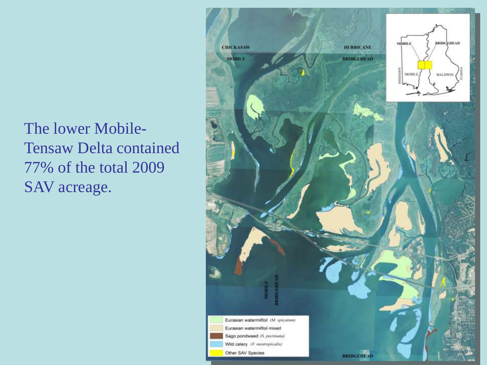The lower Mobile-Tensaw Delta contained 77% of the total 2009 SAV acreage.

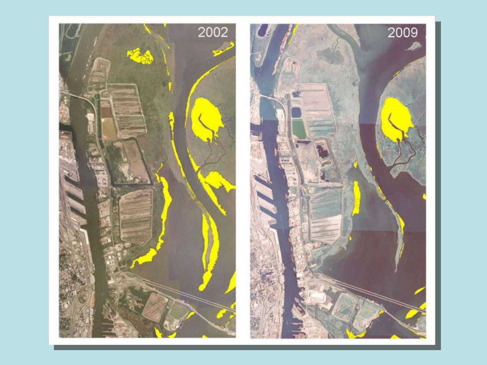